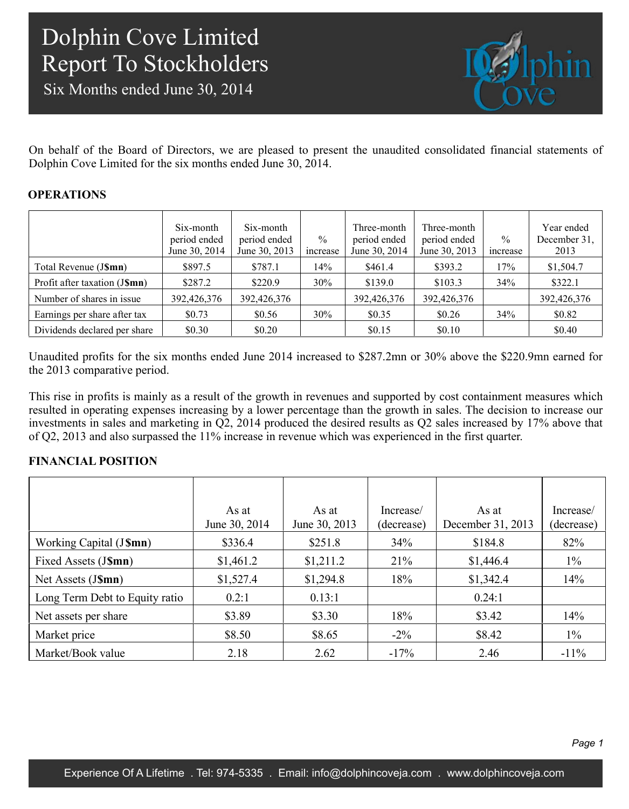Six Months ended June 30, 2014



On behalf of the Board of Directors, we are pleased to present the unaudited consolidated financial statements of Dolphin Cove Limited for the six months ended June 30, 2014.

### **OPERATIONS**

|                               | Six-month<br>period ended<br>June 30, 2014 | Six-month<br>period ended<br>June 30, 2013 | $\frac{0}{0}$<br>increase | Three-month<br>period ended<br>June 30, 2014 | Three-month<br>period ended<br>June 30, 2013 | $\frac{0}{0}$<br>increase | Year ended<br>December 31,<br>2013 |
|-------------------------------|--------------------------------------------|--------------------------------------------|---------------------------|----------------------------------------------|----------------------------------------------|---------------------------|------------------------------------|
| Total Revenue (J\\$mn)        | \$897.5                                    | \$787.1                                    | 14%                       | \$461.4                                      | \$393.2                                      | 17%                       | \$1,504.7                          |
| Profit after taxation (J\$mn) | \$287.2                                    | \$220.9                                    | 30%                       | \$139.0                                      | \$103.3                                      | 34%                       | \$322.1                            |
| Number of shares in issue     | 392,426,376                                | 392,426,376                                |                           | 392,426,376                                  | 392,426,376                                  |                           | 392,426,376                        |
| Earnings per share after tax  | \$0.73                                     | \$0.56                                     | 30%                       | \$0.35                                       | \$0.26                                       | 34%                       | \$0.82                             |
| Dividends declared per share  | \$0.30                                     | \$0.20                                     |                           | \$0.15                                       | \$0.10                                       |                           | \$0.40                             |

Unaudited profits for the six months ended June 2014 increased to \$287.2mn or 30% above the \$220.9mn earned for the 2013 comparative period.

This rise in profits is mainly as a result of the growth in revenues and supported by cost containment measures which resulted in operating expenses increasing by a lower percentage than the growth in sales. The decision to increase our investments in sales and marketing in Q2, 2014 produced the desired results as Q2 sales increased by 17% above that of Q2, 2013 and also surpassed the 11% increase in revenue which was experienced in the first quarter.

### **FINANCIAL POSITION**

|                                | As at<br>June 30, 2014 | As at<br>June 30, 2013 | Increase/<br>(decrease) | As at<br>December 31, 2013 | Increase/<br>(decrease) |
|--------------------------------|------------------------|------------------------|-------------------------|----------------------------|-------------------------|
| Working Capital (J\$mn)        | \$336.4                | \$251.8                | 34%                     | \$184.8                    | 82%                     |
| Fixed Assets (J\$mn)           | \$1,461.2              | \$1,211.2              | 21%                     | \$1,446.4                  | $1\%$                   |
| Net Assets (J\$mn)             | \$1,527.4              | \$1,294.8              | 18%                     | \$1,342.4                  | 14%                     |
| Long Term Debt to Equity ratio | 0.2:1                  | 0.13:1                 |                         | 0.24:1                     |                         |
| Net assets per share           | \$3.89                 | \$3.30                 | 18%                     | \$3.42                     | 14%                     |
| Market price                   | \$8.50                 | \$8.65                 | $-2\%$                  | \$8.42                     | $1\%$                   |
| Market/Book value              | 2.18                   | 2.62                   | $-17%$                  | 2.46                       | $-11\%$                 |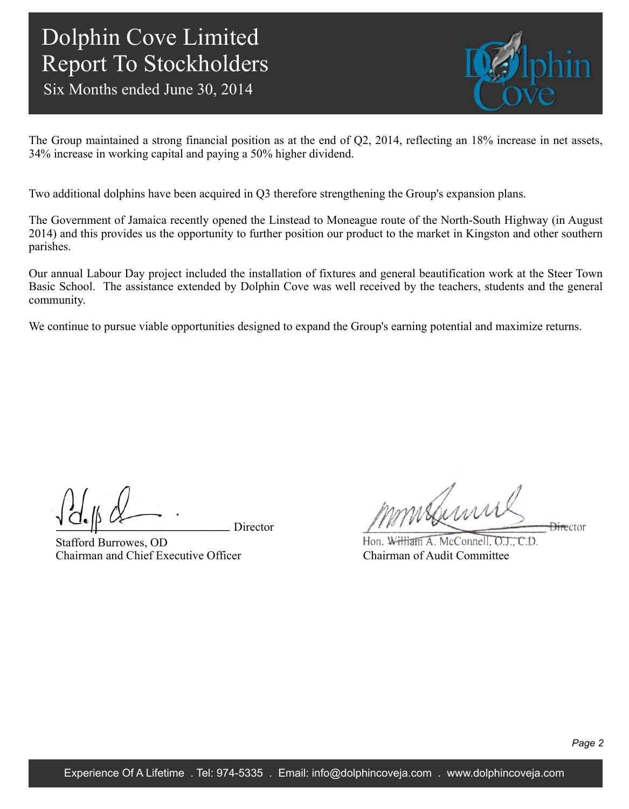Six Months ended June 30, 2014



The Group maintained a strong financial position as at the end of Q2, 2014, reflecting an 18% increase in net assets, 34% increase in working capital and paying a 50% higher dividend.

Two additional dolphins have been acquired in Q3 therefore strengthening the Group's expansion plans.

The Government of Jamaica recently opened the Linstead to Moneague route of the North-South Highway (in August 2014) and this provides us the opportunity to further position our product to the market in Kingston and other southern parishes.

Our annual Labour Day project included the installation of fixtures and general beautification work at the Steer Town Basic School. The assistance extended by Dolphin Cove was well received by the teachers, students and the general community.

We continue to pursue viable opportunities designed to expand the Group's earning potential and maximize returns.

Director

Stafford Burrowes, OD Chairman and Chief Executive Officer

mmsburn **Director** 

Hon. William A. McConnell, O.J., C.D. Chairman of Audit Committee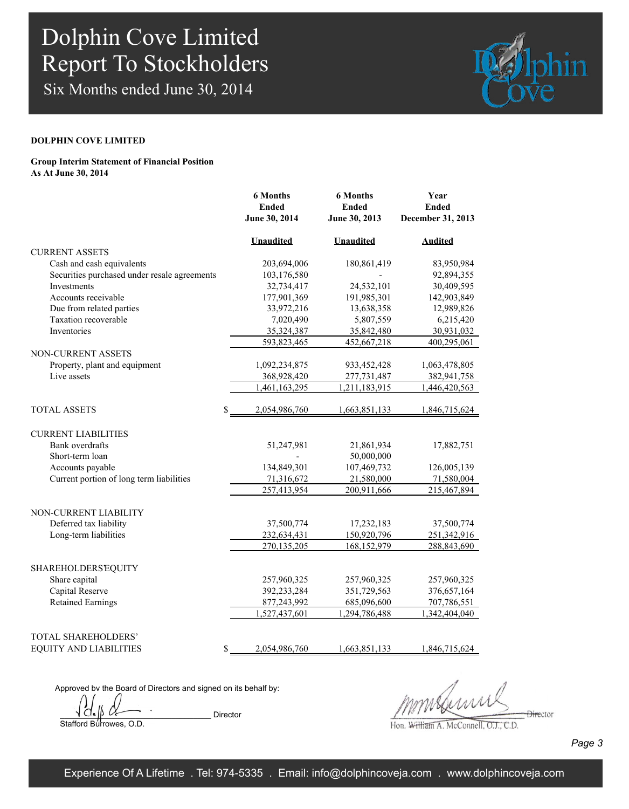Six Months ended June 30, 2014



### **DOLPHIN COVE LIMITED**

#### **Group Interim Statement of Financial Position As At June 30, 2014**

|                                              | <b>6 Months</b>  | <b>6 Months</b>  | Year              |  |
|----------------------------------------------|------------------|------------------|-------------------|--|
|                                              | <b>Ended</b>     | <b>Ended</b>     | <b>Ended</b>      |  |
|                                              | June 30, 2014    | June 30, 2013    | December 31, 2013 |  |
|                                              | <b>Unaudited</b> | <b>Unaudited</b> | <b>Audited</b>    |  |
| <b>CURRENT ASSETS</b>                        |                  |                  |                   |  |
| Cash and cash equivalents                    | 203,694,006      | 180,861,419      | 83,950,984        |  |
| Securities purchased under resale agreements | 103,176,580      |                  | 92,894,355        |  |
| Investments                                  | 32,734,417       | 24,532,101       | 30,409,595        |  |
| Accounts receivable                          | 177,901,369      | 191,985,301      | 142,903,849       |  |
| Due from related parties                     | 33,972,216       | 13,638,358       | 12,989,826        |  |
| Taxation recoverable                         | 7,020,490        | 5,807,559        | 6,215,420         |  |
| Inventories                                  | 35,324,387       | 35,842,480       | 30,931,032        |  |
|                                              | 593,823,465      | 452,667,218      | 400,295,061       |  |
| <b>NON-CURRENT ASSETS</b>                    |                  |                  |                   |  |
| Property, plant and equipment                | 1,092,234,875    | 933,452,428      | 1,063,478,805     |  |
| Live assets                                  | 368,928,420      | 277,731,487      | 382,941,758       |  |
|                                              | 1,461,163,295    | 1,211,183,915    | 1,446,420,563     |  |
| <b>TOTAL ASSETS</b><br>\$                    | 2,054,986,760    | 1,663,851,133    | 1,846,715,624     |  |
| <b>CURRENT LIABILITIES</b>                   |                  |                  |                   |  |
| Bank overdrafts                              | 51,247,981       | 21,861,934       | 17,882,751        |  |
| Short-term loan                              |                  | 50,000,000       |                   |  |
| Accounts payable                             | 134,849,301      | 107,469,732      | 126,005,139       |  |
| Current portion of long term liabilities     | 71,316,672       | 21,580,000       | 71,580,004        |  |
|                                              | 257,413,954      | 200,911,666      | 215,467,894       |  |
| NON-CURRENT LIABILITY                        |                  |                  |                   |  |
| Deferred tax liability                       | 37,500,774       | 17,232,183       | 37,500,774        |  |
| Long-term liabilities                        | 232,634,431      | 150,920,796      | 251,342,916       |  |
|                                              | 270,135,205      | 168,152,979      | 288,843,690       |  |
| <b>SHAREHOLDERS EQUITY</b>                   |                  |                  |                   |  |
| Share capital                                | 257,960,325      | 257,960,325      | 257,960,325       |  |
| Capital Reserve                              | 392,233,284      | 351,729,563      | 376,657,164       |  |
| <b>Retained Earnings</b>                     | 877,243,992      | 685,096,600      | 707,786,551       |  |
|                                              | 1,527,437,601    | .294,786,488     | 1,342,404,040     |  |
|                                              |                  |                  |                   |  |
| TOTAL SHAREHOLDERS'                          |                  |                  |                   |  |
| <b>EQUITY AND LIABILITIES</b><br>\$          | 2,054,986,760    | 1,663,851,133    | 1,846,715,624     |  |

Approved by the Board of Directors and signed on its behalf by:

\_\_\_\_\_\_\_\_\_\_\_\_\_\_\_\_\_\_\_\_\_\_\_\_\_\_\_\_\_\_\_\_\_\_ Director Stafford Burrowes, O.D.

 $\frac{1}{2}$ 

Hon. William A. McConnell, O.J., C.D.

*Page 3*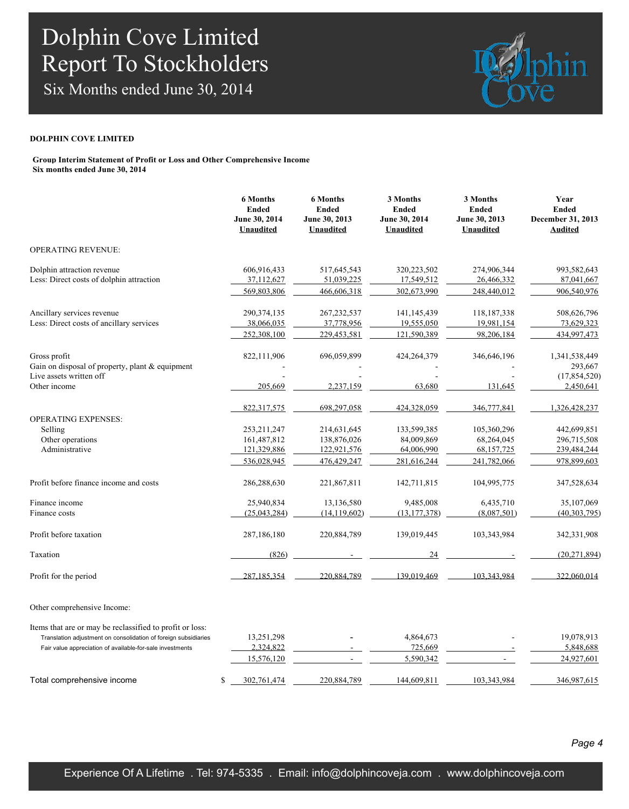Six Months ended June 30, 2014



#### **DOLPHIN COVE LIMITED**

**Group Interim Statement of Profit or Loss and Other Comprehensive Income Six months ended June 30, 2014**

|                                                                 | <b>6 Months</b><br><b>Ended</b><br>June 30, 2014<br><b>Unaudited</b> | <b>6 Months</b><br><b>Ended</b><br>June 30, 2013<br><b>Unaudited</b> | 3 Months<br><b>Ended</b><br>June 30, 2014<br><b>Unaudited</b> | 3 Months<br><b>Ended</b><br>June 30, 2013<br><b>Unaudited</b> | Year<br><b>Ended</b><br>December 31, 2013<br><b>Audited</b> |
|-----------------------------------------------------------------|----------------------------------------------------------------------|----------------------------------------------------------------------|---------------------------------------------------------------|---------------------------------------------------------------|-------------------------------------------------------------|
| <b>OPERATING REVENUE:</b>                                       |                                                                      |                                                                      |                                                               |                                                               |                                                             |
| Dolphin attraction revenue                                      | 606,916,433                                                          | 517,645,543                                                          | 320,223,502                                                   | 274,906,344                                                   | 993,582,643                                                 |
| Less: Direct costs of dolphin attraction                        | 37,112,627                                                           | 51,039,225                                                           | 17,549,512                                                    | 26,466,332                                                    | 87,041,667                                                  |
|                                                                 | 569,803,806                                                          | 466,606,318                                                          | 302,673,990                                                   | 248,440,012                                                   | 906,540,976                                                 |
| Ancillary services revenue                                      | 290, 374, 135                                                        | 267, 232, 537                                                        | 141, 145, 439                                                 | 118, 187, 338                                                 | 508,626,796                                                 |
| Less: Direct costs of ancillary services                        | 38,066,035                                                           | 37,778,956                                                           | 19,555,050                                                    | 19,981,154                                                    | 73,629,323                                                  |
|                                                                 | 252,308,100                                                          | 229,453,581                                                          | 121,590,389                                                   | 98,206,184                                                    | 434,997,473                                                 |
| Gross profit<br>Gain on disposal of property, plant & equipment | 822,111,906                                                          | 696,059,899                                                          | 424,264,379                                                   | 346,646,196                                                   | 1,341,538,449<br>293,667                                    |
| Live assets written off                                         |                                                                      |                                                                      |                                                               |                                                               | (17, 854, 520)                                              |
| Other income                                                    | 205,669                                                              | 2,237,159                                                            | 63,680                                                        | 131,645                                                       | 2,450,641                                                   |
|                                                                 | 822, 317, 575                                                        | 698,297,058                                                          | 424,328,059                                                   | 346,777,841                                                   | 1,326,428,237                                               |
| <b>OPERATING EXPENSES:</b>                                      |                                                                      |                                                                      |                                                               |                                                               |                                                             |
| Selling                                                         | 253, 211, 247                                                        | 214,631,645                                                          | 133,599,385                                                   | 105,360,296                                                   | 442,699,851                                                 |
| Other operations                                                | 161,487,812                                                          | 138,876,026                                                          | 84,009,869                                                    | 68,264,045                                                    | 296,715,508                                                 |
| Administrative                                                  | 121,329,886                                                          | 122,921,576                                                          | 64,006,990                                                    | 68, 157, 725                                                  | 239,484,244                                                 |
|                                                                 | 536,028,945                                                          | 476,429,247                                                          | 281,616,244                                                   | 241,782,066                                                   | 978,899,603                                                 |
| Profit before finance income and costs                          | 286,288,630                                                          | 221,867,811                                                          | 142,711,815                                                   | 104,995,775                                                   | 347,528,634                                                 |
| Finance income                                                  | 25,940,834                                                           | 13,136,580                                                           | 9,485,008                                                     | 6,435,710                                                     | 35,107,069                                                  |
| Finance costs                                                   | (25,043,284)                                                         | (14, 119, 602)                                                       | (13, 177, 378)                                                | (8,087,501)                                                   | (40,303,795)                                                |
| Profit before taxation                                          | 287,186,180                                                          | 220,884,789                                                          | 139,019,445                                                   | 103,343,984                                                   | 342,331,908                                                 |
| Taxation                                                        | (826)                                                                |                                                                      | 24                                                            |                                                               | (20, 271, 894)                                              |
| Profit for the period                                           | 287,185,354                                                          | 220.884.789                                                          | 139.019.469                                                   | 103.343.984                                                   | 322,060,014                                                 |
| Other comprehensive Income:                                     |                                                                      |                                                                      |                                                               |                                                               |                                                             |
| Items that are or may be reclassified to profit or loss:        |                                                                      |                                                                      |                                                               |                                                               |                                                             |
| Translation adjustment on consolidation of foreign subsidiaries | 13,251,298                                                           |                                                                      | 4,864,673                                                     |                                                               | 19,078,913                                                  |
| Fair value appreciation of available-for-sale investments       | 2.324.822                                                            |                                                                      | 725,669                                                       |                                                               | 5,848,688                                                   |
|                                                                 | 15,576,120                                                           |                                                                      | 5,590,342                                                     |                                                               | 24,927,601                                                  |
| Total comprehensive income                                      | 302.761.474<br>\$                                                    | 220.884.789                                                          | 144,609,811                                                   | 103.343.984                                                   | 346,987,615                                                 |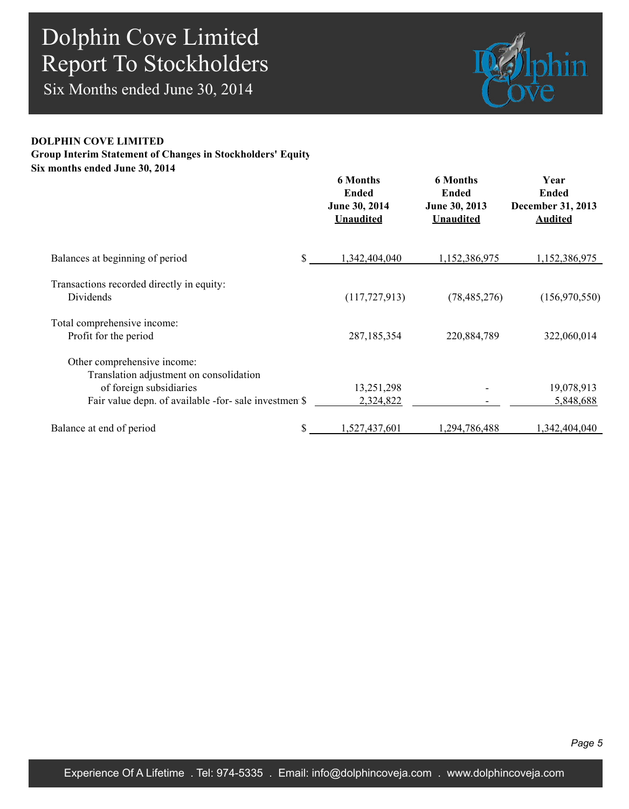Six Months ended June 30, 2014



### **DOLPHIN COVE LIMITED**

**Group Interim Statement of Changes in Stockholders' Equity**

**Six months ended June 30, 2014**

|                                                                                                                                                            |     | <b>6 Months</b><br><b>Ended</b><br>June 30, 2014<br><b>Unaudited</b> | <b>6 Months</b><br><b>Ended</b><br>June 30, 2013<br><b>Unaudited</b> | Year<br><b>Ended</b><br><b>December 31, 2013</b><br><b>Audited</b> |
|------------------------------------------------------------------------------------------------------------------------------------------------------------|-----|----------------------------------------------------------------------|----------------------------------------------------------------------|--------------------------------------------------------------------|
| Balances at beginning of period                                                                                                                            | \$. | 1,342,404,040                                                        | 1,152,386,975                                                        | 1,152,386,975                                                      |
| Transactions recorded directly in equity:<br>Dividends                                                                                                     |     | (117, 727, 913)                                                      | (78, 485, 276)                                                       | (156, 970, 550)                                                    |
| Total comprehensive income:<br>Profit for the period                                                                                                       |     | 287, 185, 354                                                        | 220,884,789                                                          | 322,060,014                                                        |
| Other comprehensive income:<br>Translation adjustment on consolidation<br>of foreign subsidiaries<br>Fair value depn. of available -for- sale investmen \$ |     | 13,251,298<br>2,324,822                                              |                                                                      | 19,078,913<br>5,848,688                                            |
| Balance at end of period                                                                                                                                   |     | 1,527,437,601                                                        | 1,294,786,488                                                        | 1,342,404,040                                                      |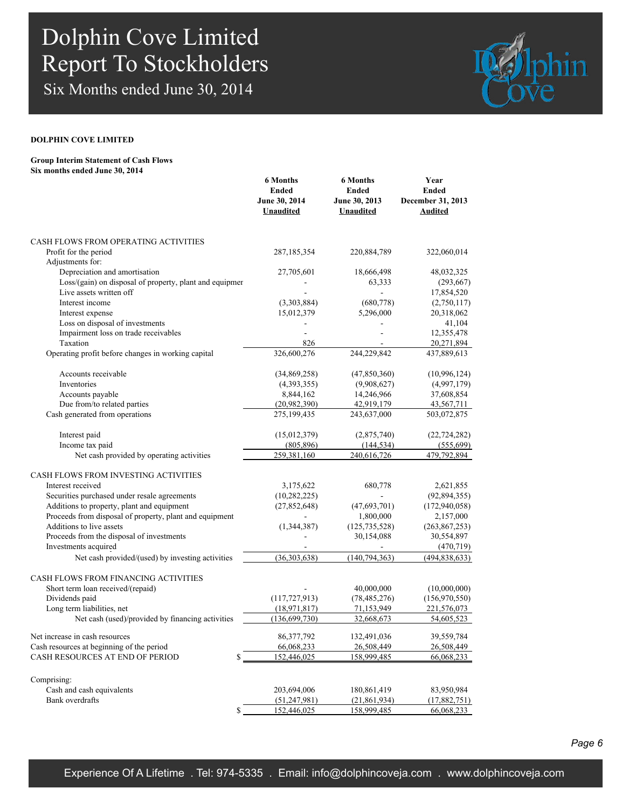Six Months ended June 30, 2014



### **DOLPHIN COVE LIMITED**

**Group Interim Statement of Cash Flows Six months ended June 30, 2014**

|                                                         | 6 Months<br><b>Ended</b><br>June 30, 2014<br><b>Unaudited</b> | <b>6 Months</b><br><b>Ended</b><br>June 30, 2013<br><b>Unaudited</b> | Year<br><b>Ended</b><br>December 31, 2013<br><b>Audited</b> |
|---------------------------------------------------------|---------------------------------------------------------------|----------------------------------------------------------------------|-------------------------------------------------------------|
| CASH FLOWS FROM OPERATING ACTIVITIES                    |                                                               |                                                                      |                                                             |
| Profit for the period                                   | 287, 185, 354                                                 | 220,884,789                                                          | 322,060,014                                                 |
| Adjustments for:                                        |                                                               |                                                                      |                                                             |
| Depreciation and amortisation                           | 27,705,601                                                    | 18,666,498                                                           | 48,032,325                                                  |
| Loss/(gain) on disposal of property, plant and equipmer |                                                               | 63,333                                                               | (293, 667)                                                  |
| Live assets written off                                 |                                                               |                                                                      | 17,854,520                                                  |
| Interest income                                         | (3,303,884)<br>15,012,379                                     | (680, 778)<br>5,296,000                                              | (2,750,117)<br>20,318,062                                   |
| Interest expense<br>Loss on disposal of investments     |                                                               |                                                                      | 41,104                                                      |
| Impairment loss on trade receivables                    |                                                               |                                                                      | 12,355,478                                                  |
| Taxation                                                | 826                                                           |                                                                      | 20,271,894                                                  |
| Operating profit before changes in working capital      | 326,600,276                                                   | 244,229,842                                                          | 437,889,613                                                 |
|                                                         |                                                               |                                                                      |                                                             |
| Accounts receivable                                     | (34,869,258)                                                  | (47,850,360)                                                         | (10,996,124)                                                |
| Inventories                                             | (4,393,355)                                                   | (9,908,627)                                                          | (4,997,179)                                                 |
| Accounts payable                                        | 8,844,162                                                     | 14,246,966                                                           | 37,608,854                                                  |
| Due from/to related parties                             | (20,982,390)                                                  | 42,919,179                                                           | 43,567,711                                                  |
| Cash generated from operations                          | 275,199,435                                                   | 243,637,000                                                          | 503,072,875                                                 |
| Interest paid                                           | (15,012,379)                                                  | (2,875,740)                                                          | (22, 724, 282)                                              |
| Income tax paid                                         | (805, 896)                                                    | (144, 534)                                                           | (555, 699)                                                  |
| Net cash provided by operating activities               | 259,381,160                                                   | 240,616,726                                                          | 479,792,894                                                 |
| CASH FLOWS FROM INVESTING ACTIVITIES                    |                                                               |                                                                      |                                                             |
| Interest received                                       | 3,175,622                                                     | 680,778                                                              | 2,621,855                                                   |
| Securities purchased under resale agreements            | (10, 282, 225)                                                |                                                                      | (92, 894, 355)                                              |
| Additions to property, plant and equipment              | (27, 852, 648)                                                | (47,693,701)                                                         | (172, 940, 058)                                             |
| Proceeds from disposal of property, plant and equipment |                                                               | 1,800,000                                                            | 2,157,000                                                   |
| Additions to live assets                                | (1,344,387)                                                   | (125, 735, 528)                                                      | (263, 867, 253)                                             |
| Proceeds from the disposal of investments               |                                                               | 30,154,088                                                           | 30,554,897                                                  |
| Investments acquired                                    |                                                               |                                                                      | (470, 719)                                                  |
| Net cash provided/(used) by investing activities        | (36,303,638)                                                  | (140, 794, 363)                                                      | (494, 838, 633)                                             |
| CASH FLOWS FROM FINANCING ACTIVITIES                    |                                                               |                                                                      |                                                             |
| Short term loan received/(repaid)                       |                                                               | 40,000,000                                                           | (10,000,000)                                                |
| Dividends paid                                          | (117, 727, 913)                                               | (78, 485, 276)                                                       | (156,970,550)                                               |
| Long term liabilities, net                              | (18, 971, 817)                                                | 71,153,949                                                           | 221,576,073                                                 |
| Net cash (used)/provided by financing activities        | (136, 699, 730)                                               | 32,668,673                                                           | 54,605,523                                                  |
| Net increase in cash resources                          | 86, 377, 792                                                  | 132,491,036                                                          | 39,559,784                                                  |
| Cash resources at beginning of the period               | 66,068,233                                                    | 26,508,449                                                           | 26,508,449                                                  |
| \$<br>CASH RESOURCES AT END OF PERIOD                   | 152,446,025                                                   | 158,999,485                                                          | 66,068,233                                                  |
| Comprising:                                             |                                                               |                                                                      |                                                             |
| Cash and cash equivalents                               | 203,694,006                                                   | 180,861,419                                                          | 83,950,984                                                  |
| <b>Bank</b> overdrafts                                  | (51, 247, 981)                                                | (21, 861, 934)                                                       | (17,882,751)                                                |
| \$                                                      | 152,446,025                                                   | 158,999,485                                                          | 66,068,233                                                  |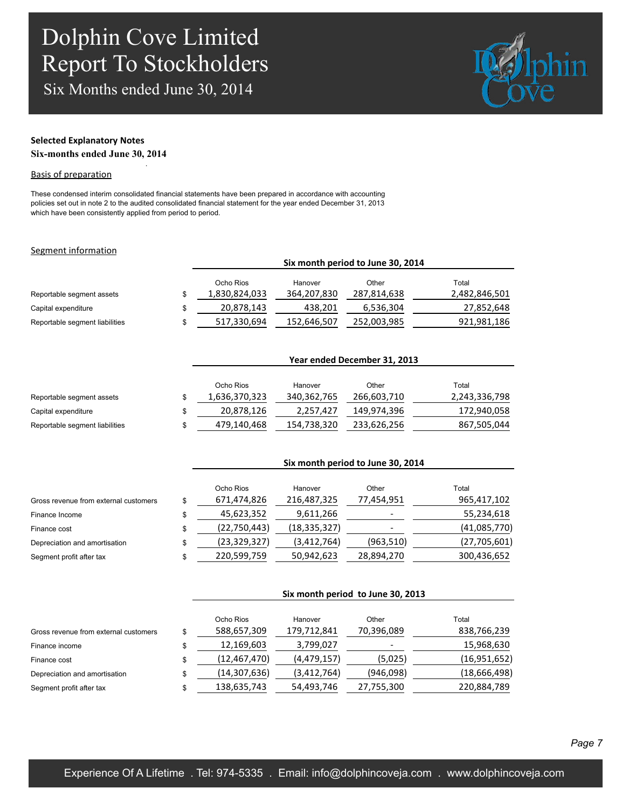Six Months ended June 30, 2014

.



## **Selected Explanatory Notes**

**Six-months ended June 30, 2014**

### Basis of preparation

These condensed interim consolidated financial statements have been prepared in accordance with accounting policies set out in note 2 to the audited consolidated financial statement for the year ended December 31, 2013 which have been consistently applied from period to period.

#### Segment information

|                                | Six month period to June 30, 2014 |                        |                      |                        |  |  |
|--------------------------------|-----------------------------------|------------------------|----------------------|------------------------|--|--|
| Reportable segment assets      | Ocho Rios<br>1,830,824,033        | Hanover<br>364,207,830 | Other<br>287,814,638 | Total<br>2,482,846,501 |  |  |
| Capital expenditure            | 20,878,143                        | 438,201                | 6,536,304            | 27,852,648             |  |  |
| Reportable segment liabilities | 517,330,694                       | 152,646,507            | 252,003,985          | 921,981,186            |  |  |

|                                |   | Year ended December 31, 2013 |             |             |               |  |  |
|--------------------------------|---|------------------------------|-------------|-------------|---------------|--|--|
|                                |   | Ocho Rios                    | Hanover     | Other       | Total         |  |  |
| Reportable segment assets      |   | 1,636,370,323                | 340,362,765 | 266,603,710 | 2,243,336,798 |  |  |
| Capital expenditure            |   | 20,878,126                   | 2,257,427   | 149.974.396 | 172,940,058   |  |  |
| Reportable segment liabilities | S | 479,140,468                  | 154,738,320 | 233,626,256 | 867,505,044   |  |  |

|                                       | Ocho Rios          | Hanover      | Other                    | Total          |
|---------------------------------------|--------------------|--------------|--------------------------|----------------|
| Gross revenue from external customers | \$<br>671,474,826  | 216,487,325  | 77,454,951               | 965,417,102    |
| Finance Income                        | \$<br>45,623,352   | 9,611,266    | $\overline{\phantom{0}}$ | 55,234,618     |
| Finance cost                          | \$<br>(22,750,443) | (18,335,327) | -                        | (41,085,770)   |
| Depreciation and amortisation         | \$<br>(23,329,327) | (3,412,764)  | (963, 510)               | (27, 705, 601) |
| Segment profit after tax              | \$<br>220,599,759  | 50,942,623   | 28,894,270               | 300,436,652    |

**Six month period to June 30, 2014**

|                                       | Six month period to June 30, 2013 |               |                          |                |  |  |
|---------------------------------------|-----------------------------------|---------------|--------------------------|----------------|--|--|
|                                       | Ocho Rios                         | Hanover       | Other                    | Total          |  |  |
| Gross revenue from external customers | \$<br>588,657,309                 | 179,712,841   | 70,396,089               | 838,766,239    |  |  |
| Finance income                        | \$<br>12,169,603                  | 3,799,027     | $\overline{\phantom{0}}$ | 15,968,630     |  |  |
| Finance cost                          | \$<br>(12, 467, 470)              | (4, 479, 157) | (5,025)                  | (16,951,652)   |  |  |
| Depreciation and amortisation         | \$<br>(14,307,636)                | (3, 412, 764) | (946,098)                | (18, 666, 498) |  |  |
| Segment profit after tax              | \$<br>138,635,743                 | 54,493,746    | 27,755,300               | 220,884,789    |  |  |